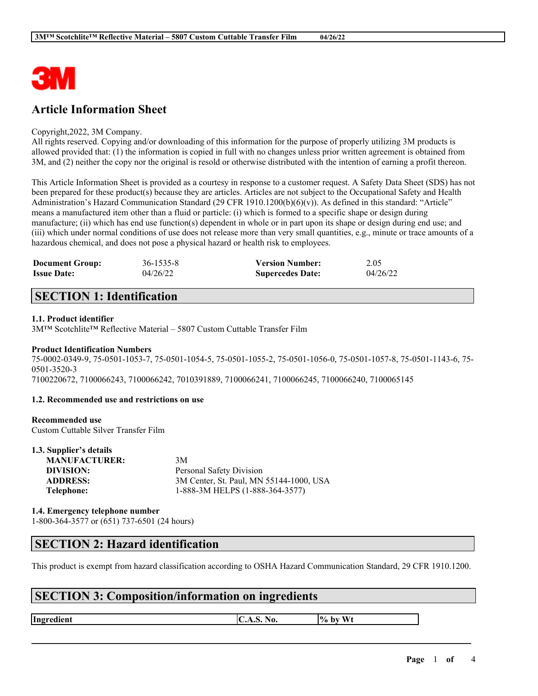

## **Article Information Sheet**

#### Copyright,2022, 3M Company.

All rights reserved. Copying and/or downloading of this information for the purpose of properly utilizing 3M products is allowed provided that: (1) the information is copied in full with no changes unless prior written agreement is obtained from 3M, and (2) neither the copy nor the original is resold or otherwise distributed with the intention of earning a profit thereon.

This Article Information Sheet is provided as a courtesy in response to a customer request. A Safety Data Sheet (SDS) has not been prepared for these product(s) because they are articles. Articles are not subject to the Occupational Safety and Health Administration's Hazard Communication Standard (29 CFR 1910.1200(b)(6)(v)). As defined in this standard: "Article" means a manufactured item other than a fluid or particle: (i) which is formed to a specific shape or design during manufacture; (ii) which has end use function(s) dependent in whole or in part upon its shape or design during end use; and (iii) which under normal conditions of use does not release more than very small quantities, e.g., minute or trace amounts of a hazardous chemical, and does not pose a physical hazard or health risk to employees.

| <b>Document Group:</b> | 36-1535-8 | <b>Version Number:</b>  | 2.05     |
|------------------------|-----------|-------------------------|----------|
| <b>Issue Date:</b>     | 04/26/22  | <b>Supercedes Date:</b> | 04/26/22 |

## **SECTION 1: Identification**

### **1.1. Product identifier**

3M™ Scotchlite™ Reflective Material – 5807 Custom Cuttable Transfer Film

#### **Product Identification Numbers**

75-0002-0349-9, 75-0501-1053-7, 75-0501-1054-5, 75-0501-1055-2, 75-0501-1056-0, 75-0501-1057-8, 75-0501-1143-6, 75- 0501-3520-3 7100220672, 7100066243, 7100066242, 7010391889, 7100066241, 7100066245, 7100066240, 7100065145

### **1.2. Recommended use and restrictions on use**

### **Recommended use**

**1.3. Supplier's details**

Custom Cuttable Silver Transfer Film

| 1.3. Supplier's details |                                         |
|-------------------------|-----------------------------------------|
| <b>MANUFACTURER:</b>    | 3M                                      |
| DIVISION:               | Personal Safety Division                |
| <b>ADDRESS:</b>         | 3M Center, St. Paul, MN 55144-1000, USA |
| Telephone:              | 1-888-3M HELPS (1-888-364-3577)         |
|                         |                                         |

**1.4. Emergency telephone number** 1-800-364-3577 or (651) 737-6501 (24 hours)

### **SECTION 2: Hazard identification**

This product is exempt from hazard classification according to OSHA Hazard Communication Standard, 29 CFR 1910.1200.

 $\mathcal{L}_\mathcal{L} = \mathcal{L}_\mathcal{L} = \mathcal{L}_\mathcal{L} = \mathcal{L}_\mathcal{L} = \mathcal{L}_\mathcal{L} = \mathcal{L}_\mathcal{L} = \mathcal{L}_\mathcal{L} = \mathcal{L}_\mathcal{L} = \mathcal{L}_\mathcal{L} = \mathcal{L}_\mathcal{L} = \mathcal{L}_\mathcal{L} = \mathcal{L}_\mathcal{L} = \mathcal{L}_\mathcal{L} = \mathcal{L}_\mathcal{L} = \mathcal{L}_\mathcal{L} = \mathcal{L}_\mathcal{L} = \mathcal{L}_\mathcal{L}$ 

### **SECTION 3: Composition/information on ingredients**

**Ingredient C.A.S.** No.  $\begin{bmatrix} \phi & \phi \end{bmatrix}$  by Wt

**Page** 1 **of** 4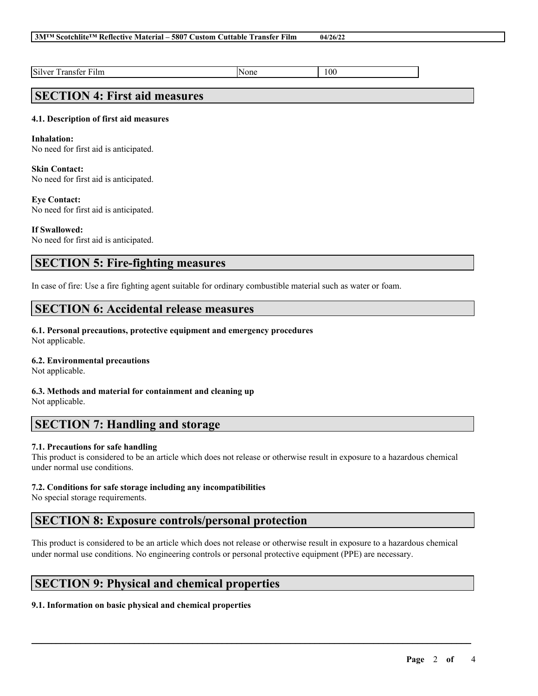#### **3M™ Scotchlite™ Reflective Material – 5807 Custom Cuttable Transfer Film 04/26/22**

Silver Transfer Film None 2012 | None

## **SECTION 4: First aid measures**

### **4.1. Description of first aid measures**

#### **Inhalation:**

No need for first aid is anticipated.

### **Skin Contact:**

No need for first aid is anticipated.

#### **Eye Contact:**

No need for first aid is anticipated.

### **If Swallowed:**

No need for first aid is anticipated.

### **SECTION 5: Fire-fighting measures**

In case of fire: Use a fire fighting agent suitable for ordinary combustible material such as water or foam.

### **SECTION 6: Accidental release measures**

#### **6.1. Personal precautions, protective equipment and emergency procedures**

Not applicable.

### **6.2. Environmental precautions**

Not applicable.

#### **6.3. Methods and material for containment and cleaning up** Not applicable.

### **SECTION 7: Handling and storage**

### **7.1. Precautions for safe handling**

This product is considered to be an article which does not release or otherwise result in exposure to a hazardous chemical under normal use conditions.

### **7.2. Conditions for safe storage including any incompatibilities**

No special storage requirements.

### **SECTION 8: Exposure controls/personal protection**

This product is considered to be an article which does not release or otherwise result in exposure to a hazardous chemical under normal use conditions. No engineering controls or personal protective equipment (PPE) are necessary.

 $\mathcal{L}_\mathcal{L} = \mathcal{L}_\mathcal{L} = \mathcal{L}_\mathcal{L} = \mathcal{L}_\mathcal{L} = \mathcal{L}_\mathcal{L} = \mathcal{L}_\mathcal{L} = \mathcal{L}_\mathcal{L} = \mathcal{L}_\mathcal{L} = \mathcal{L}_\mathcal{L} = \mathcal{L}_\mathcal{L} = \mathcal{L}_\mathcal{L} = \mathcal{L}_\mathcal{L} = \mathcal{L}_\mathcal{L} = \mathcal{L}_\mathcal{L} = \mathcal{L}_\mathcal{L} = \mathcal{L}_\mathcal{L} = \mathcal{L}_\mathcal{L}$ 

### **SECTION 9: Physical and chemical properties**

### **9.1. Information on basic physical and chemical properties**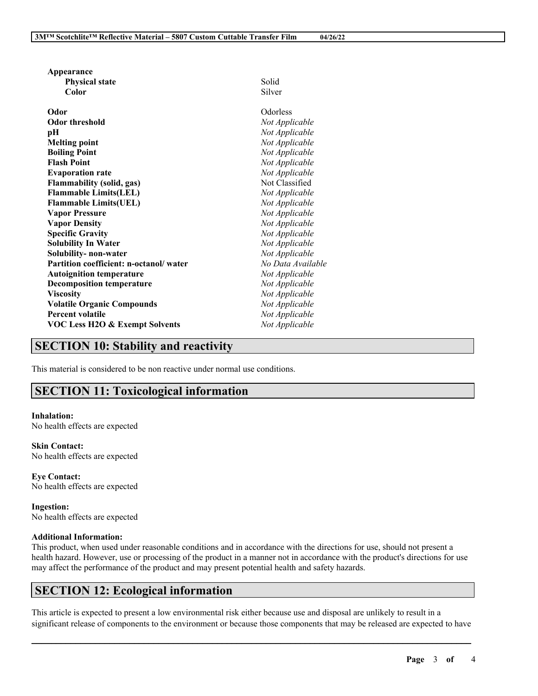| Appearance                                   |                                  |
|----------------------------------------------|----------------------------------|
| <b>Physical state</b>                        | Solid                            |
| Color                                        | Silver                           |
| Odor                                         | Odorless                         |
| <b>Odor threshold</b>                        | Not Applicable                   |
| рH                                           | Not Applicable                   |
|                                              | Not Applicable                   |
| <b>Melting point</b><br><b>Boiling Point</b> | Not Applicable                   |
| <b>Flash Point</b>                           | Not Applicable                   |
|                                              |                                  |
| <b>Evaporation rate</b>                      | Not Applicable<br>Not Classified |
| <b>Flammability (solid, gas)</b>             |                                  |
| <b>Flammable Limits(LEL)</b>                 | Not Applicable                   |
| <b>Flammable Limits(UEL)</b>                 | Not Applicable                   |
| <b>Vapor Pressure</b>                        | Not Applicable                   |
| <b>Vapor Density</b>                         | Not Applicable                   |
| <b>Specific Gravity</b>                      | Not Applicable                   |
| <b>Solubility In Water</b>                   | Not Applicable                   |
| Solubility-non-water                         | Not Applicable                   |
| Partition coefficient: n-octanol/water       | No Data Available                |
| <b>Autoignition temperature</b>              | Not Applicable                   |
| <b>Decomposition temperature</b>             | Not Applicable                   |
| <b>Viscosity</b>                             | Not Applicable                   |
| <b>Volatile Organic Compounds</b>            | Not Applicable                   |
| <b>Percent volatile</b>                      | Not Applicable                   |
| <b>VOC Less H2O &amp; Exempt Solvents</b>    | Not Applicable                   |
|                                              |                                  |

## **SECTION 10: Stability and reactivity**

This material is considered to be non reactive under normal use conditions.

## **SECTION 11: Toxicological information**

**Inhalation:** No health effects are expected

**Skin Contact:** No health effects are expected

**Eye Contact:** No health effects are expected

**Ingestion:** No health effects are expected

#### **Additional Information:**

This product, when used under reasonable conditions and in accordance with the directions for use, should not present a health hazard. However, use or processing of the product in a manner not in accordance with the product's directions for use may affect the performance of the product and may present potential health and safety hazards.

## **SECTION 12: Ecological information**

This article is expected to present a low environmental risk either because use and disposal are unlikely to result in a significant release of components to the environment or because those components that may be released are expected to have

 $\mathcal{L}_\mathcal{L} = \mathcal{L}_\mathcal{L} = \mathcal{L}_\mathcal{L} = \mathcal{L}_\mathcal{L} = \mathcal{L}_\mathcal{L} = \mathcal{L}_\mathcal{L} = \mathcal{L}_\mathcal{L} = \mathcal{L}_\mathcal{L} = \mathcal{L}_\mathcal{L} = \mathcal{L}_\mathcal{L} = \mathcal{L}_\mathcal{L} = \mathcal{L}_\mathcal{L} = \mathcal{L}_\mathcal{L} = \mathcal{L}_\mathcal{L} = \mathcal{L}_\mathcal{L} = \mathcal{L}_\mathcal{L} = \mathcal{L}_\mathcal{L}$